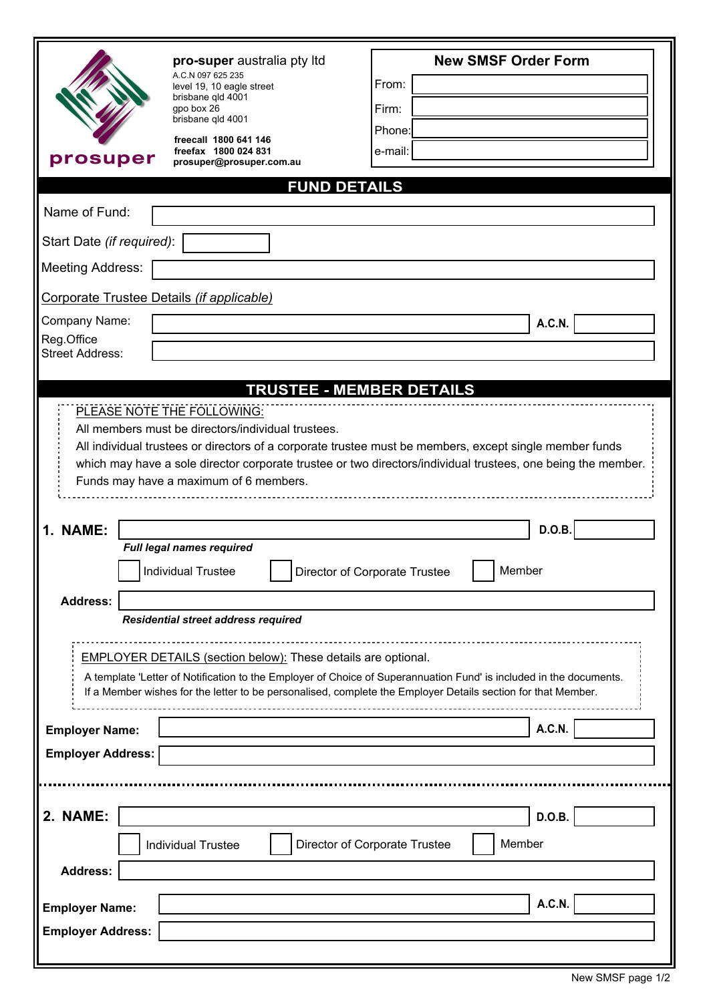| prosuper                                                                                                                                                                                                                                                                                                                | pro-super australia pty Itd<br>A.C.N 097 625 235<br>level 19, 10 eagle street<br>brisbane qld 4001<br>qpo box 26<br>brisbane gld 4001<br>freecall 1800 641 146<br>freefax 1800 024 831<br>prosuper@prosuper.com.au | <b>New SMSF Order Form</b><br>From:<br>Firm:<br>Phone:<br>e-mail: |  |  |
|-------------------------------------------------------------------------------------------------------------------------------------------------------------------------------------------------------------------------------------------------------------------------------------------------------------------------|--------------------------------------------------------------------------------------------------------------------------------------------------------------------------------------------------------------------|-------------------------------------------------------------------|--|--|
| <b>FUND DETAILS</b>                                                                                                                                                                                                                                                                                                     |                                                                                                                                                                                                                    |                                                                   |  |  |
| Name of Fund:                                                                                                                                                                                                                                                                                                           |                                                                                                                                                                                                                    |                                                                   |  |  |
| Start Date (if required):                                                                                                                                                                                                                                                                                               |                                                                                                                                                                                                                    |                                                                   |  |  |
| <b>Meeting Address:</b>                                                                                                                                                                                                                                                                                                 |                                                                                                                                                                                                                    |                                                                   |  |  |
| Corporate Trustee Details (if applicable)                                                                                                                                                                                                                                                                               |                                                                                                                                                                                                                    |                                                                   |  |  |
| Company Name:<br><b>A.C.N.</b>                                                                                                                                                                                                                                                                                          |                                                                                                                                                                                                                    |                                                                   |  |  |
| Reg.Office<br><b>Street Address:</b>                                                                                                                                                                                                                                                                                    |                                                                                                                                                                                                                    |                                                                   |  |  |
| <b>TRUSTEE - MEMBER DETAILS</b>                                                                                                                                                                                                                                                                                         |                                                                                                                                                                                                                    |                                                                   |  |  |
| All members must be directors/individual trustees.<br>All individual trustees or directors of a corporate trustee must be members, except single member funds<br>which may have a sole director corporate trustee or two directors/individual trustees, one being the member.<br>Funds may have a maximum of 6 members. |                                                                                                                                                                                                                    |                                                                   |  |  |
| 1. NAME:                                                                                                                                                                                                                                                                                                                |                                                                                                                                                                                                                    | D.O.B.                                                            |  |  |
|                                                                                                                                                                                                                                                                                                                         | Full legal names required<br><b>Individual Trustee</b>                                                                                                                                                             | Member<br>Director of Corporate Trustee                           |  |  |
| <b>Address:</b><br>Residential street address required                                                                                                                                                                                                                                                                  |                                                                                                                                                                                                                    |                                                                   |  |  |
|                                                                                                                                                                                                                                                                                                                         | <b>EMPLOYER DETAILS (section below): These details are optional.</b>                                                                                                                                               |                                                                   |  |  |
| A template 'Letter of Notification to the Employer of Choice of Superannuation Fund' is included in the documents.<br>If a Member wishes for the letter to be personalised, complete the Employer Details section for that Member.                                                                                      |                                                                                                                                                                                                                    |                                                                   |  |  |
| <b>Employer Name:</b>                                                                                                                                                                                                                                                                                                   |                                                                                                                                                                                                                    | <b>A.C.N.</b>                                                     |  |  |
| <b>Employer Address:</b>                                                                                                                                                                                                                                                                                                |                                                                                                                                                                                                                    |                                                                   |  |  |
|                                                                                                                                                                                                                                                                                                                         |                                                                                                                                                                                                                    |                                                                   |  |  |
| 2. NAME:                                                                                                                                                                                                                                                                                                                |                                                                                                                                                                                                                    | D.O.B.                                                            |  |  |
|                                                                                                                                                                                                                                                                                                                         | <b>Individual Trustee</b>                                                                                                                                                                                          | Member<br>Director of Corporate Trustee                           |  |  |
| <b>Address:</b>                                                                                                                                                                                                                                                                                                         |                                                                                                                                                                                                                    |                                                                   |  |  |
| <b>A.C.N.</b><br><b>Employer Name:</b>                                                                                                                                                                                                                                                                                  |                                                                                                                                                                                                                    |                                                                   |  |  |
| <b>Employer Address:</b>                                                                                                                                                                                                                                                                                                |                                                                                                                                                                                                                    |                                                                   |  |  |
|                                                                                                                                                                                                                                                                                                                         |                                                                                                                                                                                                                    |                                                                   |  |  |